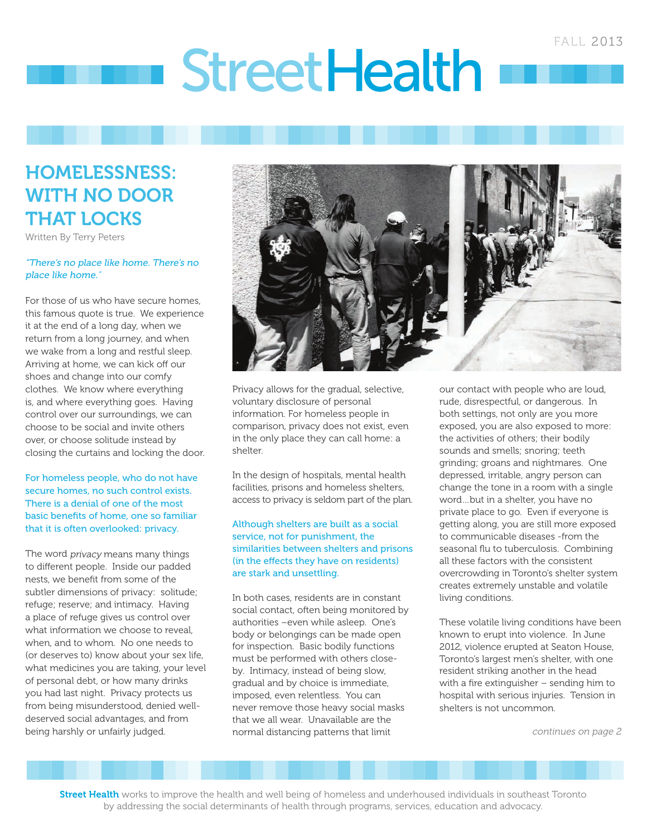# **StreetHealth**

# HOMELESSNESS: WITH NO DOOR THAT LOCKS

Written By Terry Peters

#### "There's no place like home. There's no place like home."

For those of us who have secure homes, this famous quote is true. We experience it at the end of a long day, when we return from a long journey, and when we wake from a long and restful sleep. Arriving at home, we can kick off our shoes and change into our comfy clothes. We know where everything is, and where everything goes. Having control over our surroundings, we can choose to be social and invite others over, or choose solitude instead by closing the curtains and locking the door.

#### For homeless people, who do not have secure homes, no such control exists. There is a denial of one of the most basic benefits of home, one so familiar that it is often overlooked: privacy.

The word *privacy* means many things to different people. Inside our padded nests, we benefit from some of the subtler dimensions of privacy: solitude; refuge; reserve; and intimacy. Having a place of refuge gives us control over what information we choose to reveal, when, and to whom. No one needs to (or deserves to) know about your sex life, what medicines you are taking, your level of personal debt, or how many drinks you had last night. Privacy protects us from being misunderstood, denied welldeserved social advantages, and from being harshly or unfairly judged.



Privacy allows for the gradual, selective, voluntary disclosure of personal information. For homeless people in comparison, privacy does not exist, even in the only place they can call home: a shelter.

In the design of hospitals, mental health facilities, prisons and homeless shelters, access to privacy is seldom part of the plan.

#### Although shelters are built as a social service, not for punishment, the similarities between shelters and prisons (in the effects they have on residents) are stark and unsettling.

In both cases, residents are in constant social contact, often being monitored by authorities –even while asleep. One's body or belongings can be made open for inspection. Basic bodily functions must be performed with others closeby. Intimacy, instead of being slow, gradual and by choice is immediate, imposed, even relentless. You can never remove those heavy social masks that we all wear. Unavailable are the normal distancing patterns that limit

our contact with people who are loud, rude, disrespectful, or dangerous. In both settings, not only are you more exposed, you are also exposed to more: the activities of others; their bodily sounds and smells; snoring; teeth grinding; groans and nightmares. One depressed, irritable, angry person can change the tone in a room with a single word…but in a shelter, you have no private place to go. Even if everyone is getting along, you are still more exposed to communicable diseases -from the seasonal flu to tuberculosis. Combining all these factors with the consistent overcrowding in Toronto's shelter system creates extremely unstable and volatile living conditions.

These volatile living conditions have been known to erupt into violence. In June 2012, violence erupted at Seaton House, Toronto's largest men's shelter, with one resident striking another in the head with a fire extinguisher – sending him to hospital with serious injuries. Tension in shelters is not uncommon.

continues on page 2

Street Health works to improve the health and well being of homeless and underhoused individuals in southeast Toronto by addressing the social determinants of health through programs, services, education and advocacy.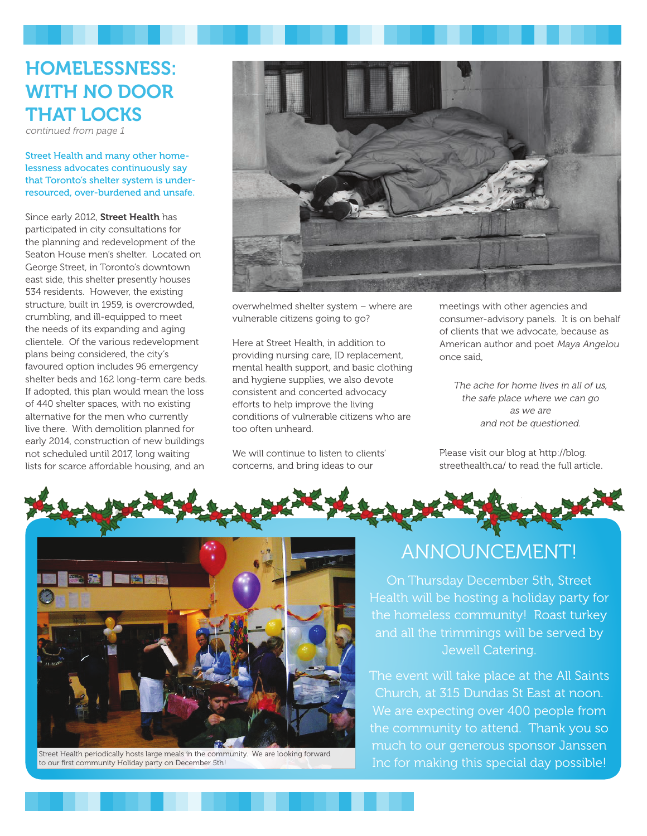# HOMELESSNESS: WITH NO DOOR THAT LOCKS

continued from page 1

Street Health and many other homelessness advocates continuously say that Toronto's shelter system is underresourced, over-burdened and unsafe.

Since early 2012, Street Health has participated in city consultations for the planning and redevelopment of the Seaton House men's shelter. Located on George Street, in Toronto's downtown east side, this shelter presently houses 534 residents. However, the existing structure, built in 1959, is overcrowded, crumbling, and ill-equipped to meet the needs of its expanding and aging clientele. Of the various redevelopment plans being considered, the city's favoured option includes 96 emergency shelter beds and 162 long-term care beds. If adopted, this plan would mean the loss of 440 shelter spaces, with no existing alternative for the men who currently live there. With demolition planned for early 2014, construction of new buildings not scheduled until 2017, long waiting lists for scarce affordable housing, and an



overwhelmed shelter system – where are vulnerable citizens going to go?

Here at Street Health, in addition to providing nursing care, ID replacement, mental health support, and basic clothing and hygiene supplies, we also devote consistent and concerted advocacy efforts to help improve the living conditions of vulnerable citizens who are too often unheard.

We will continue to listen to clients' concerns, and bring ideas to our

meetings with other agencies and consumer-advisory panels. It is on behalf of clients that we advocate, because as American author and poet Maya Angelou once said,

The ache for home lives in all of us, the safe place where we can go as we are and not be questioned.

Please visit our blog at http://blog. streethealth.ca/ to read the full article.





Street Health periodically hosts large meals in the community. We are looking forward to our first community Holiday party on December 5th!

## ANNOUNCEMENT!

On Thursday December 5th, Street Health will be hosting a holiday party for the homeless community! Roast turkey and all the trimmings will be served by Jewell Catering.

The event will take place at the All Saints Church, at 315 Dundas St East at noon. We are expecting over 400 people from the community to attend. Thank you so much to our generous sponsor Janssen Inc for making this special day possible!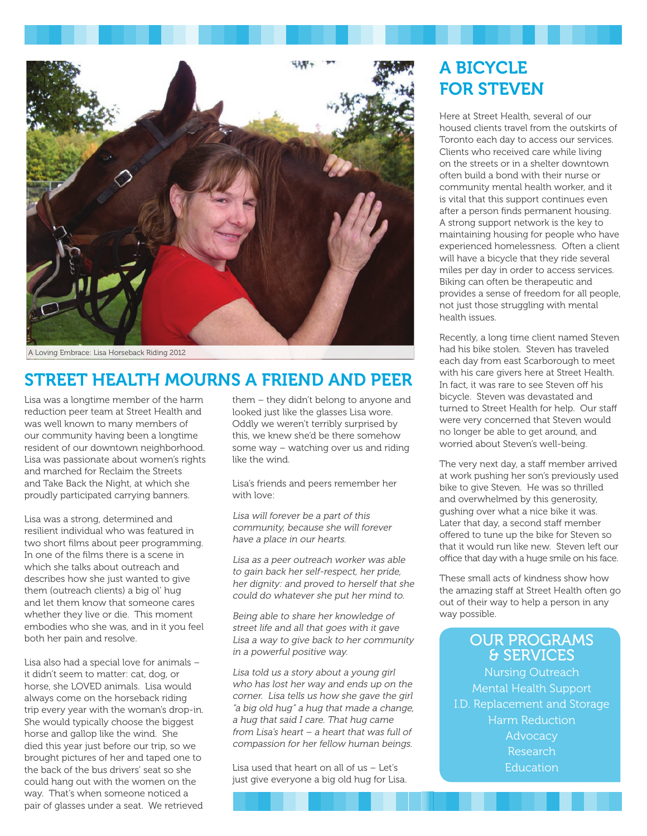

A Loving Embrace: Lisa Horseback Riding 2012

# STREET HEALTH MOURNS A FRIEND AND PEER

Lisa was a longtime member of the harm reduction peer team at Street Health and was well known to many members of our community having been a longtime resident of our downtown neighborhood. Lisa was passionate about women's rights and marched for Reclaim the Streets and Take Back the Night, at which she proudly participated carrying banners.

Lisa was a strong, determined and resilient individual who was featured in two short films about peer programming. In one of the films there is a scene in which she talks about outreach and describes how she just wanted to give them (outreach clients) a big ol' hug and let them know that someone cares whether they live or die. This moment embodies who she was, and in it you feel both her pain and resolve.

Lisa also had a special love for animals – it didn't seem to matter: cat, dog, or horse, she LOVED animals. Lisa would always come on the horseback riding trip every year with the woman's drop-in. She would typically choose the biggest horse and gallop like the wind. She died this year just before our trip, so we brought pictures of her and taped one to the back of the bus drivers' seat so she could hang out with the women on the way. That's when someone noticed a pair of glasses under a seat. We retrieved

them – they didn't belong to anyone and looked just like the glasses Lisa wore. Oddly we weren't terribly surprised by this, we knew she'd be there somehow some way – watching over us and riding like the wind.

Lisa's friends and peers remember her with love:

Lisa will forever be a part of this community, because she will forever have a place in our hearts.

Lisa as a peer outreach worker was able to gain back her self-respect, her pride, her dignity: and proved to herself that she could do whatever she put her mind to.

Being able to share her knowledge of street life and all that goes with it gave Lisa a way to give back to her community in a powerful positive way.

Lisa told us a story about a young girl who has lost her way and ends up on the corner. Lisa tells us how she gave the girl "a big old hug" a hug that made a change, a hug that said I care. That hug came from Lisa's heart – a heart that was full of compassion for her fellow human beings.

Lisa used that heart on all of us – Let's just give everyone a big old hug for Lisa.

## A BICYCLE FOR STEVEN

Here at Street Health, several of our housed clients travel from the outskirts of Toronto each day to access our services. Clients who received care while living on the streets or in a shelter downtown often build a bond with their nurse or community mental health worker, and it is vital that this support continues even after a person finds permanent housing. A strong support network is the key to maintaining housing for people who have experienced homelessness. Often a client will have a bicycle that they ride several miles per day in order to access services. Biking can often be therapeutic and provides a sense of freedom for all people, not just those struggling with mental health issues.

Recently, a long time client named Steven had his bike stolen. Steven has traveled each day from east Scarborough to meet with his care givers here at Street Health. In fact, it was rare to see Steven off his bicycle. Steven was devastated and turned to Street Health for help. Our staff were very concerned that Steven would no longer be able to get around, and worried about Steven's well-being.

The very next day, a staff member arrived at work pushing her son's previously used bike to give Steven. He was so thrilled and overwhelmed by this generosity, gushing over what a nice bike it was. Later that day, a second staff member offered to tune up the bike for Steven so that it would run like new. Steven left our office that day with a huge smile on his face.

These small acts of kindness show how the amazing staff at Street Health often go out of their way to help a person in any way possible.

## OUR PROGRAMS & SERVICES

Nursing Outreach Mental Health Support I.D. Replacement and Storage Harm Reduction **Advocacy** Research **Education**